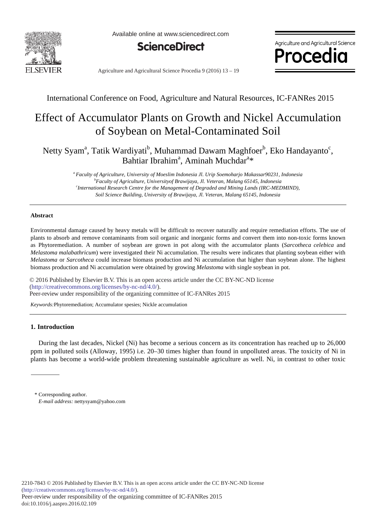

Available online at www.sciencedirect.com



Agriculture and Agricultural Science *Procedio* 

Agriculture and Agricultural Science Procedia 9 (2016) 13 - 19

International Conference on Food, Agriculture and Natural Resources, IC-FANRes 2015

# Effect of Accumulator Plants on Growth and Nickel Accumulation of Soybean on Metal-Contaminated Soil

Netty Syam<sup>a</sup>, Tatik Wardiyati<sup>b</sup>, Muhammad Dawam Maghfoer<sup>b</sup>, Eko Handayanto<sup>c</sup>, Bahtiar Ibrahim<sup>a</sup>, Aminah Muchdar<sup>a\*</sup>

> *a Faculty of Agriculture, University of Moeslim Indonesia Jl. Urip Soemoharjo Makassar90231, Indonesia b Faculty of Agriculture, Universityof Brawijaya, Jl. Veteran, Malang 65145, Indonesia c International Research Centre for the Management of Degraded and Mining Lands (IRC-MEDMIND), Soil Science Building, University of Brawijaya, Jl. Veteran, Malang 65145, Indonesia*

## **Abstract**

Environmental damage caused by heavy metals will be difficult to recover naturally and require remediation efforts. The use of plants to absorb and remove contaminants from soil organic and inorganic forms and convert them into non-toxic forms known as Phytoremediation. A number of soybean are grown in pot along with the accumulator plants (*Sarcotheca celebica* and *Melastoma malabathricum*) were investigated their Ni accumulation. The results were indicates that planting soybean either with *Melastoma* or *Sarcotheca* could increase biomass production and Ni accumulation that higher than soybean alone. The highest biomass production and Ni accumulation were obtained by growing *Melastoma* with single soybean in pot.

© 2016 Published by Elsevier B.V. This is an open access article under the CC BY-NC-ND license Peer-review under responsibility of the organizing committee of IC-FANRes 2015. Peer-review under responsibility of the organizing committee of IC-FANRes 2015(http://creativecommons.org/licenses/by-nc-nd/4.0/).

*Keywords:*Phytoremediation; Accumulator spesies; Nickle accumulation

# **1. Introduction**

During the last decades, Nickel (Ni) has become a serious concern as its concentration has reached up to 26,000 ppm in polluted soils (Alloway, 1995) i.e. 20–30 times higher than found in unpolluted areas. The toxicity of Ni in plants has become a world-wide problem threatening sustainable agriculture as well. Ni, in contrast to other toxic

<sup>\*</sup> Corresponding author. *E-mail address:* nettysyam@yahoo.com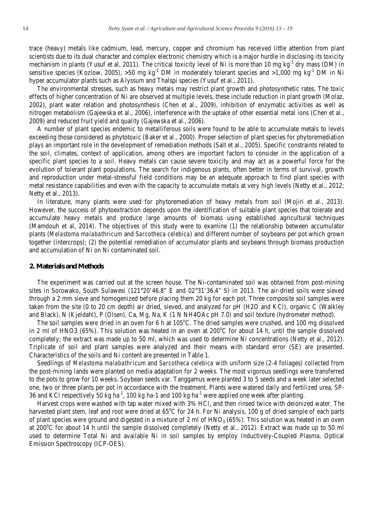trace (heavy) metals like cadmium, lead, mercury, copper and chromium has received little attention from plant scientists due to its dual character and complex electronic chemistry which is a major hurdle in disclosing its toxicity mechanism in plants (Yusuf et al, 2011). The critical toxicity level of Ni is more than 10 mg kg<sup>-1</sup> dry mass (DM) in sensitive species (Kozlow, 2005), >50 mg kg<sup>-1</sup> DM in moderately tolerant species and >1,000 mg kg<sup>-1</sup> DM in Ni hyper accumulator plants such as Alyssum and Thalspi species (Yusuf et al., 2011).

The environmental stresses, such as heavy metals may restrict plant growth and photosynthetic rates. The toxic effects of higher concentration of Ni are observed at multiple levels, these include reduction in plant growth (Molaz, 2002), plant water relation and photosynthesis (Chen et al., 2009), inhibition of enzymatic activities as well as nitrogen metabolism (Gajewska et al., 2006), interference with the uptake of other essential metal ions (Chen et al., 2009) and reduced fruit yield and quality (Gajewska et al., 2006).

A number of plant species endemic to metalliferous soils were found to be able to accumulate metals to levels exceeding those considered as phytotoxic (Baker et al., 2000). Proper selection of plant species for phytoremediation plays an important role in the development of remediation methods (Salt et al., 2005). Specific constraints related to the soil, climates, context of application, among others are important factors to consider in the application of a specific plant species to a soil. Heavy metals can cause severe toxicity and may act as a powerful force for the evolution of tolerant plant populations. The search for indigenous plants, often better in terms of survival, growth and reproduction under metal-stressful field conditions may be an adequate approach to find plant species with metal resistance capabilities and even with the capacity to accumulate metals at very high levels (Netty et al., 2012; Netty et al., 2013).

In literature, many plants were used for phytoremediation of heavy metals from soil (Mojiri et al., 2013). However, the success of phytoextraction depends upon the identification of suitable plant species that tolerate and accumulate heavy metals and produce large amounts of biomass using established agricultural techniques (Mamdouh et al, 2014). The objectives of this study were to examine (1) the relationship between accumulator plants (*Melastoma malabathricum* and *Sarcotheca celebica*) and different number of soybeans per pot which grown together (intercrops); (2) the potential remediation of accumulator plants and soybeans through biomass production and accumulation of Ni on Ni contaminated soil.

## **2. Materials and Methods**

The experiment was carried out at the screen house. The Ni-contaminated soil was obtained from post-mining sites in Sorowako, South Sulawesi (121°20'46.8" E and 02°31'36.4" S) in 2013. The air-dried soils were sieved through a 2 mm sieve and homogenized before placing them 20 kg for each pot. Three composite soil samples were taken from the site (0 to 20 cm depth) air dried, sieved, and analyzed for pH (H2O and KCl), organic C (Walkley and Black), N (Kjeldahl), P (Olsen), Ca, Mg, Na, K (1 N NH4OAc pH 7.0) and soil texture (hydrometer method).

The soil samples were dried in an oven for 6 h at 105°C. The dried samples were crushed, and 100 mg dissolved in 2 ml of HNO3 (65%). This solution was heated in an oven at  $200^{\circ}$ C for about 14 h, until the sample dissolved completely; the extract was made up to 50 ml, which was used to determine Ni concentrations (Netty et al., 2012). Triplicate of soil and plant samples were analyzed and their means with standard error (SE) are presented. Characteristics of the soils and Ni content are presented in Table 1.

Seedlings of *Melastoma malabathricum* and *Sarcotheca celebica* with uniform size (2-4 foliages) collected from the post-mining lands were planted on media adaptation for 2 weeks. The most vigorous seedlings were transferred to the pots to grow for 10 weeks. Soybean seeds var. Tanggamus were planted 3 to 5 seeds and a week later selected one, two or three plants per pot in accordance with the treatment. Plants were watered daily and fertilized urea, SP-36 and KCl respectively 50 kg ha<sup>-1</sup>, 100 kg ha-1 and 100 kg ha<sup>-1</sup> were applied one week after planting.

Harvest crops were washed with tap water mixed with 3% HCl, and then rinsed twice with deionized water. The harvested plant stem, leaf and root were dried at 65°C for 24 h. For Ni analysis, 100 g of dried sample of each parts of plant species were ground and digested in a mixture of 2 ml of  $HNO<sub>3</sub>$  (65%). This solution was heated in an oven at 200°C for about 14 h until the sample dissolved completely (Netty et al., 2012). Extract was made up to 50 ml used to determine Total Ni and available Ni in soil samples by employ Inductively-Coupled Plasma, Optical Emission Spectroscopy (ICP-OES).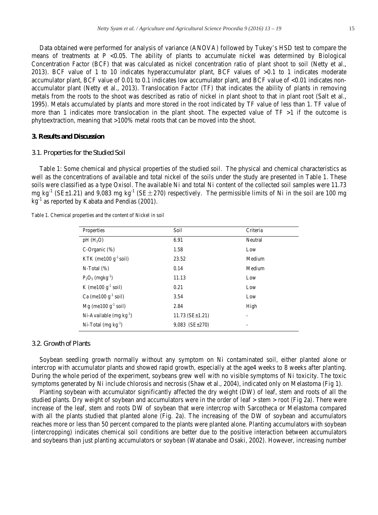Data obtained were performed for analysis of variance (ANOVA) followed by Tukey's HSD test to compare the means of treatments at  $P < 0.05$ . The ability of plants to accumulate nickel was determined by Biological Concentration Factor (BCF) that was calculated as nickel concentration ratio of plant shoot to soil (Netty et al., 2013). BCF value of 1 to 10 indicates hyperaccumulator plant, BCF values of >0.1 to 1 indicates moderate accumulator plant, BCF value of 0.01 to 0.1 indicates low accumulator plant, and BCF value of <0.01 indicates nonaccumulator plant (Netty et al., 2013). Translocation Factor (TF) that indicates the ability of plants in removing metals from the roots to the shoot was described as ratio of nickel in plant shoot to that in plant root (Salt et al., 1995). Metals accumulated by plants and more stored in the root indicated by TF value of less than 1. TF value of more than 1 indicates more translocation in the plant shoot. The expected value of  $TF >1$  if the outcome is phytoextraction, meaning that >100% metal roots that can be moved into the shoot.

# **3. Results and Discussion**

## *3.1. Properties for the Studied Soil*

Table 1: Some chemical and physical properties of the studied soil. The physical and chemical characteristics as well as the concentrations of available and total nickel of the soils under the study are presented in Table 1. These soils were classified as a type Oxisol. The available Ni and total Ni content of the collected soil samples were 11.73 mg kg<sup>-1</sup> (SE $\pm$ 1.21) and 9,083 mg kg<sup>-1</sup> (SE $\pm$ 270) respectively. The permissible limits of Ni in the soil are 100 mg  $kg^{-1}$  as reported by Kabata and Pendias (2001).

Table 1. Chemical properties and the content of Nickel in soil

| Properties                     | Soil                    | Criteria |
|--------------------------------|-------------------------|----------|
| $pH(H_2O)$                     | 6.91                    | Neutral  |
| $C$ -Organic $(\%)$            | 1.58                    | Low      |
| KTK (me100 $g^{-1}$ soil)      | 23.52                   | Medium   |
| $N-Total (%)$                  | 0.14                    | Medium   |
| $P_2O_5$ (mgkg <sup>-1</sup> ) | 11.13                   | Low      |
| K (me100 $g^{-1}$ soil)        | 0.21                    | Low      |
| Ca (me100 $g^{-1}$ soil)       | 3.54                    | Low      |
| $Mg$ (me100 $g^{-1}$ soil)     | 2.84                    | High     |
| Ni-Available $(mg kg^{-1})$    | $11.73$ (SE $\pm$ 1.21) |          |
| Ni-Total $(mg kg^{-1})$        | $9,083$ (SE $\pm$ 270)  |          |

## *3.2. Growth of Plants*

Soybean seedling growth normally without any symptom on Ni contaminated soil, either planted alone or intercrop with accumulator plants and showed rapid growth, especially at the age4 weeks to 8 weeks after planting. During the whole period of the experiment, soybeans grew well with no visible symptoms of Ni toxicity. The toxic symptoms generated by Ni include chlorosis and necrosis (Shaw et al., 2004), indicated only on Melastoma (Fig 1).

Planting soybean with accumulator significantly affected the dry weight (DW) of leaf, stem and roots of all the studied plants. Dry weight of soybean and accumulators were in the order of leaf > stem > root (Fig 2a). There were increase of the leaf, stem and roots DW of soybean that were intercrop with Sarcotheca or Melastoma compared with all the plants studied that planted alone (Fig. 2a). The increasing of the DW of soybean and accumulators reaches more or less than 50 percent compared to the plants were planted alone. Planting accumulators with soybean (intercropping) indicates chemical soil conditions are better due to the positive interaction between accumulators and soybeans than just planting accumulators or soybean (Watanabe and Osaki, 2002). However, increasing number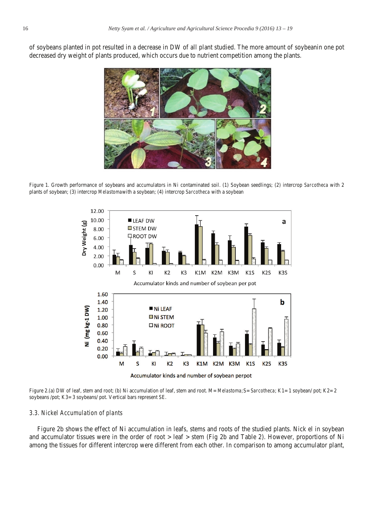of soybeans planted in pot resulted in a decrease in DW of all plant studied. The more amount of soybeanin one pot decreased dry weight of plants produced, which occurs due to nutrient competition among the plants.



Figure 1. Growth performance of soybeans and accumulators in Ni contaminated soil. (1) Soybean seedlings; (2) intercrop *Sarcotheca* with 2 plants of soybean; (3) intercrop *Melastoma*with a soybean; (4) intercrop *Sarcotheca* with a soybean



Figure 2.(a) DW of leaf, stem and root; (b) Ni accumulation of leaf, stem and root. M= *Melastoma;*S= *Sarcotheca*; K1= 1 soybean/ pot; K2= 2 soybeans /pot; K3= 3 soybeans/ pot. Vertical bars represent SE.

#### *3.3. Nickel Accumulation of plants*

Figure 2b shows the effect of Ni accumulation in leafs, stems and roots of the studied plants. Nick el in soybean and accumulator tissues were in the order of root > leaf > stem (Fig 2b and Table 2). However, proportions of Ni among the tissues for different intercrop were different from each other. In comparison to among accumulator plant,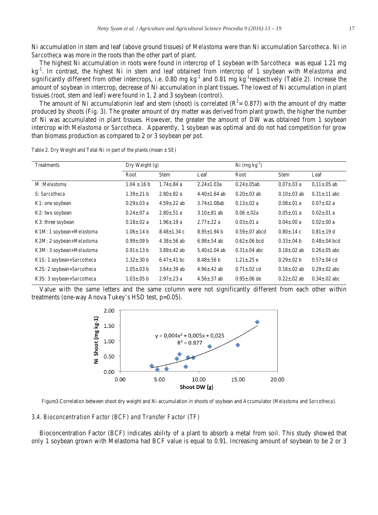Ni accumulation in stem and leaf (above ground tissues) of *Melastoma* were than Ni accumulation *Sarcotheca.* Ni in *Sarcotheca* was more in the roots than the other part of plant.

The highest Ni accumulation in roots were found in intercrop of 1 soybean with *Sarcotheca* was equal 1.21 mg kg-1. In contrast, the highest Ni in stem and leaf obtained from intercrop of 1 soybean with *Melastoma* and significantly different from other intercrops, i.e. 0.80 mg kg<sup>-1</sup> and 0.81 mg kg<sup>-1</sup>respectively (Table 2). Increase the amount of soybean in intercrop, decrease of Ni accumulation in plant tissues. The lowest of Ni accumulation in plant tissues (root, stem and leaf) were found in 1, 2 and 3 soybean (control).

The amount of Ni accumulationin leaf and stem (shoot) is correlated  $(R^2 = 0.877)$  with the amount of dry matter produced by shoots (Fig. 3). The greater amount of dry matter was derived from plant growth, the higher the number of Ni was accumulated in plant tissues. However, the greater the amount of DW was obtained from 1 soybean intercrop with *Melastoma* or *Sarcotheca*. Apparently, 1 soybean was optimal and do not had competition for grow than biomass production as compared to 2 or 3 soybean per pot.

| Treatments                | Dry Weight $(g)$  |                    |                    | $Ni$ (mg $kg^{-1}$ ) |                    |                     |
|---------------------------|-------------------|--------------------|--------------------|----------------------|--------------------|---------------------|
|                           | Root              | Stem               | Leaf               | Root                 | <b>Stem</b>        | Leaf                |
| M:Melastoma               | $1.04 \pm 16 b$   | $1.74 + .84$ a     | $2.24 \pm 1.03a$   | $0.24 + 0.5ab$       | $0.07 \pm 0.03$ a  | $0.11 \pm 0.05$ ab  |
| S: Sarcotheca             | $1.39 \pm .21 b$  | $2.80 \pm .82$ a   | $4.40 \pm 1.64$ ab | $0.20 + 0.03$ ab     | $0.10 \pm 0.03$ ab | $0.31 \pm 0.11$ abc |
| K1: one soybean           | $0.29 \pm 0.03$ a | $4.59 \pm 0.22$ ab | $3.74 \pm 1.08$ ab | $0.13 \pm 0.02$ a    | $0.08 \pm 0.01$ a  | $0.07 \pm 0.02$ a   |
| K2: two soybean           | $0.24 \pm 0.07$ a | $2.80 \pm .51$ a   | $3.10 \pm .81$ ab  | $0.06 \pm 0.02a$     | $0.05 \pm 01$ a    | $0.02 \pm 0.01$ a   |
| K3: three soybean         | $0.18 \pm 0.02$ a | $1.96 \pm 0.19$ a  | $2.77 \pm .22$ a   | $0.03 \pm 01$ a      | $0.04 \pm 0.00 a$  | $0.02 \pm 0.00 a$   |
| K1M: 1 soybean+Melastoma  | $1.06 \pm 0.14 b$ | $8.48 \pm 1.34$ c  | $8.95 \pm 1.94$ b  | $0.59 \pm 0.07$ abcd | $0.80 \pm 0.14$ c  | $0.81 \pm 0.19$ d   |
| K2M: 2 soybean+Melastoma  | $0.99 \pm 0.09 b$ | $4.38 \pm 0.56$ ab | $6.98 \pm 0.54$ ab | $0.62 \pm 0.06$ bcd  | $0.33 \pm 0.04$ b  | $0.48 + 0.04$ bcd   |
| K3M: 3 soybean+Melastoma  | $0.91 \pm 0.13$ b | $3.89 \pm .42$ ab  | $5.40 \pm 1.04$ ab | $0.31 \pm .04$ abc   | $0.18 \pm 0.02$ ab | $0.26 + 0.05$ abc   |
| K1S: 1 soybean+Sarcotheca | $1.32 \pm .30 b$  | $6.47 + .41$ bc    | $8.48 \pm 0.56$ b  | $1.21 \pm .25$ e     | $0.29 \pm 0.02 b$  | $0.57 \pm 0.04$ cd  |
| K2S: 2 soybean+Sarcotheca | $1.05 \pm .03$ b  | $3.64 \pm .39$ ab  | $4.96 \pm 0.42$ ab | $0.71 \pm 0.02$ cd   | $0.16 \pm 0.02$ ab | $0.29 + 0.02$ abc   |
| K3S: 3 soybean+Sarcotheca | $1.03 \pm .05$ b  | $2.97 \pm .23$ a   | $4.56 \pm .37$ ab  | $0.95 \pm 0.06$ de   | $0.22 \pm 0.02$ ab | $0.34 + 0.02$ abc   |

Table 2. Dry Weight and Total Ni in part of the plants (mean  $\pm$  SE)

Value with the same letters and the same column were not significantly different from each other within treatments (one-way Anova Tukey's HSD test, p=0.05).



Figure3.Correlation between shoot dry weight and Ni accumulation in shoots of soybean and Accumulator (*Melastoma* and *Sorcotheca*).

# *3.4. Bioconcentration Factor (BCF) and Transfer Factor (TF)*

Bioconcentration Factor (BCF) indicates ability of a plant to absorb a metal from soil. This study showed that only 1 soybean grown with Melastoma had BCF value is equal to 0.91. Increasing amount of soybean to be 2 or 3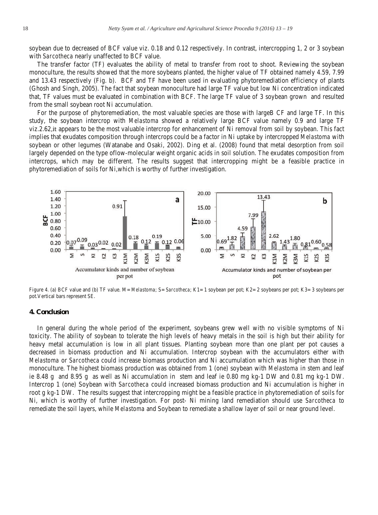soybean due to decreased of BCF value viz. 0.18 and 0.12 respectively. In contrast, intercropping 1, 2 or 3 soybean with *Sarcotheca* nearly unaffected to BCF value.

The transfer factor (TF) evaluates the ability of metal to transfer from root to shoot. Reviewing the soybean monoculture, the results showed that the more soybeans planted, the higher value of TF obtained namely 4.59, 7.99 and 13.43 respectively (Fig. b). BCF and TF have been used in evaluating phytoremediation efficiency of plants (Ghosh and Singh, 2005). The fact that soybean monoculture had large TF value but low Ni concentration indicated that, TF values must be evaluated in combination with BCF. The large TF value of 3 soybean grown and resulted from the small soybean root Ni accumulation.

For the purpose of phytoremediation, the most valuable species are those with largeB CF and large TF. In this study, the soybean intercrop with *Melastoma* showed a relatively large BCF value namely 0.9 and large TF viz.2.62, it appears to be the most valuable intercrop for enhancement of Ni removal from soil by soybean. This fact implies that exudates composition through intercrops could be a factor in Ni uptake by intercropped *Melastoma* with soybean or other legumes (Watanabe and Osaki, 2002). Ding et al. (2008) found that metal desorption from soil largely depended on the type oflow-molecular weight organic acids in soil solution. The exudates composition from intercrops, which may be different. The results suggest that intercropping might be a feasible practice in phytoremediation of soils for Ni,which is worthy of further investigation.



Figure 4. (a) BCF value and (b) TF value. M= *Melastoma*; S= *Sarcotheca*; K1= 1 soybean per pot; K2= 2 soybeans per pot; K3= 3 soybeans per pot.Vertical bars represent SE.

#### **4. Conclusion**

In general during the whole period of the experiment, soybeans grew well with no visible symptoms of Ni toxicity. The ability of soybean to tolerate the high levels of heavy metals in the soil is high but their ability for heavy metal accumulation is low in all plant tissues. Planting soybean more than one plant per pot causes a decreased in biomass production and Ni accumulation. Intercrop soybean with the accumulators either with *Melastoma* or *Sarcotheca* could increase biomass production and Ni accumulation which was higher than those in monoculture. The highest biomass production was obtained from 1 (one) soybean with *Melastoma* in stem and leaf ie 8.48 g and 8.95 g as well as Ni accumulation in stem and leaf ie 0.80 mg kg-1 DW and 0.81 mg kg-1 DW. Intercrop 1 (one) Soybean with *Sarcotheca* could increased biomass production and Ni accumulation is higher in root g kg-1 DW. The results suggest that intercropping might be a feasible practice in phytoremediation of soils for Ni, which is worthy of further investigation. For post- Ni mining land remediation should use *Sarcotheca* to remediate the soil layers, while *Melastoma* and Soybean to remediate a shallow layer of soil or near ground level.